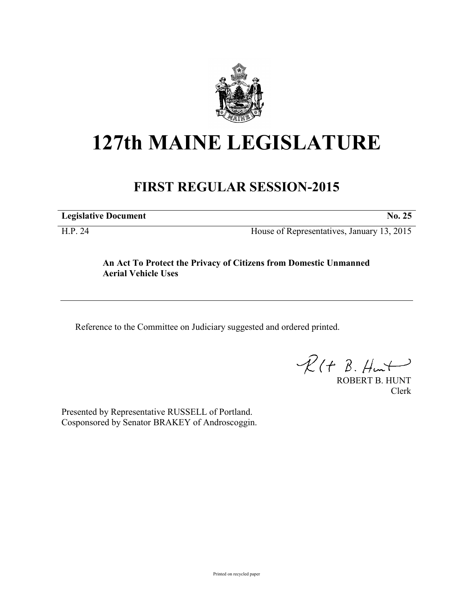

## **127th MAINE LEGISLATURE**

## **FIRST REGULAR SESSION-2015**

**Legislative Document No. 25**

H.P. 24 House of Representatives, January 13, 2015

## **An Act To Protect the Privacy of Citizens from Domestic Unmanned Aerial Vehicle Uses**

Reference to the Committee on Judiciary suggested and ordered printed.

 $\mathcal{R}(t \; \mathcal{B}, \#m\rightarrow)$ 

ROBERT B. HUNT Clerk

Presented by Representative RUSSELL of Portland. Cosponsored by Senator BRAKEY of Androscoggin.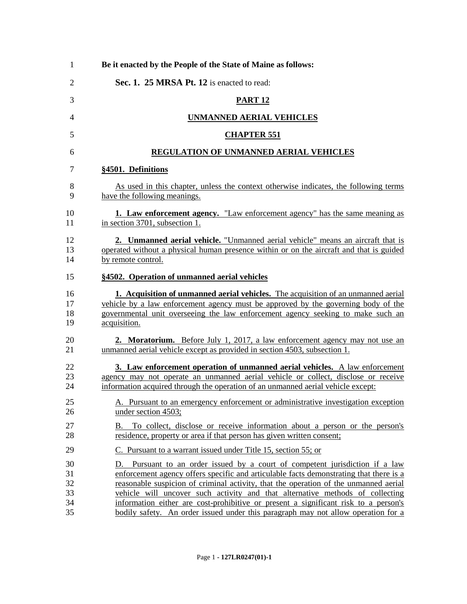| Be it enacted by the People of the State of Maine as follows:                                                                                                                                                                                                                    |
|----------------------------------------------------------------------------------------------------------------------------------------------------------------------------------------------------------------------------------------------------------------------------------|
| Sec. 1. 25 MRSA Pt. 12 is enacted to read:                                                                                                                                                                                                                                       |
| <b>PART 12</b>                                                                                                                                                                                                                                                                   |
| <b>UNMANNED AERIAL VEHICLES</b>                                                                                                                                                                                                                                                  |
| <b>CHAPTER 551</b>                                                                                                                                                                                                                                                               |
| <b>REGULATION OF UNMANNED AERIAL VEHICLES</b>                                                                                                                                                                                                                                    |
| §4501. Definitions                                                                                                                                                                                                                                                               |
| As used in this chapter, unless the context otherwise indicates, the following terms<br>have the following meanings.                                                                                                                                                             |
| <b>1. Law enforcement agency.</b> "Law enforcement agency" has the same meaning as<br>in section 3701, subsection 1.                                                                                                                                                             |
| 2. Unmanned aerial vehicle. "Unmanned aerial vehicle" means an aircraft that is<br>operated without a physical human presence within or on the aircraft and that is guided<br>by remote control.                                                                                 |
| §4502. Operation of unmanned aerial vehicles                                                                                                                                                                                                                                     |
|                                                                                                                                                                                                                                                                                  |
| <b>1. Acquisition of unmanned aerial vehicles.</b> The acquisition of an unmanned aerial<br>vehicle by a law enforcement agency must be approved by the governing body of the<br>governmental unit overseeing the law enforcement agency seeking to make such an<br>acquisition. |
| <b>2. Moratorium.</b> Before July 1, 2017, a law enforcement agency may not use an<br>unmanned aerial vehicle except as provided in section 4503, subsection 1.                                                                                                                  |
| 3. Law enforcement operation of unmanned aerial vehicles. A law enforcement<br>agency may not operate an unmanned aerial vehicle or collect, disclose or receive<br>information acquired through the operation of an unmanned aerial vehicle except:                             |
| A. Pursuant to an emergency enforcement or administrative investigation exception<br>under section 4503;                                                                                                                                                                         |
| B. To collect, disclose or receive information about a person or the person's<br>residence, property or area if that person has given written consent;                                                                                                                           |
| C. Pursuant to a warrant issued under Title 15, section 55; or                                                                                                                                                                                                                   |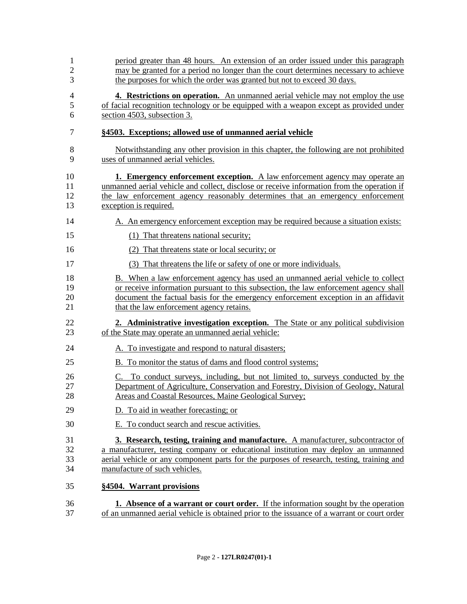| $\mathbf{1}$<br>$\mathfrak{2}$<br>3 | period greater than 48 hours. An extension of an order issued under this paragraph<br>may be granted for a period no longer than the court determines necessary to achieve<br>the purposes for which the order was granted but not to exceed 30 days.                                                     |
|-------------------------------------|-----------------------------------------------------------------------------------------------------------------------------------------------------------------------------------------------------------------------------------------------------------------------------------------------------------|
| $\overline{4}$<br>5<br>6            | 4. Restrictions on operation. An unmanned aerial vehicle may not employ the use<br>of facial recognition technology or be equipped with a weapon except as provided under<br>section 4503, subsection 3.                                                                                                  |
| 7                                   | §4503. Exceptions; allowed use of unmanned aerial vehicle                                                                                                                                                                                                                                                 |
| 8<br>9                              | Notwithstanding any other provision in this chapter, the following are not prohibited<br>uses of unmanned aerial vehicles.                                                                                                                                                                                |
| 10<br>11<br>12<br>13                | <b>1. Emergency enforcement exception.</b> A law enforcement agency may operate an<br>unmanned aerial vehicle and collect, disclose or receive information from the operation if<br>the law enforcement agency reasonably determines that an emergency enforcement<br>exception is required.              |
| 14                                  | A. An emergency enforcement exception may be required because a situation exists:                                                                                                                                                                                                                         |
| 15                                  | (1) That threatens national security;                                                                                                                                                                                                                                                                     |
| 16                                  | (2)<br>That threatens state or local security; or                                                                                                                                                                                                                                                         |
| 17                                  | (3) That threatens the life or safety of one or more individuals.                                                                                                                                                                                                                                         |
| 18<br>19<br>20<br>21                | B. When a law enforcement agency has used an unmanned aerial vehicle to collect<br>or receive information pursuant to this subsection, the law enforcement agency shall<br>document the factual basis for the emergency enforcement exception in an affidavit<br>that the law enforcement agency retains. |
| 22<br>23                            | <b>2. Administrative investigation exception.</b> The State or any political subdivision<br>of the State may operate an unmanned aerial vehicle:                                                                                                                                                          |
| 24                                  | A. To investigate and respond to natural disasters;                                                                                                                                                                                                                                                       |
| 25                                  | B. To monitor the status of dams and flood control systems;                                                                                                                                                                                                                                               |
| 26<br>27<br>28                      | C. To conduct surveys, including, but not limited to, surveys conducted by the<br>Department of Agriculture, Conservation and Forestry, Division of Geology, Natural<br>Areas and Coastal Resources, Maine Geological Survey;                                                                             |
| 29                                  | To aid in weather forecasting; or                                                                                                                                                                                                                                                                         |
| 30                                  | E. To conduct search and rescue activities.                                                                                                                                                                                                                                                               |
| 31<br>32<br>33<br>34                | 3. Research, testing, training and manufacture. A manufacturer, subcontractor of<br>a manufacturer, testing company or educational institution may deploy an unmanned<br>aerial vehicle or any component parts for the purposes of research, testing, training and<br>manufacture of such vehicles.       |
| 35                                  | §4504. Warrant provisions                                                                                                                                                                                                                                                                                 |
| 36<br>37                            | <b>1.</b> Absence of a warrant or court order. If the information sought by the operation<br>of an unmanned aerial vehicle is obtained prior to the issuance of a warrant or court order                                                                                                                  |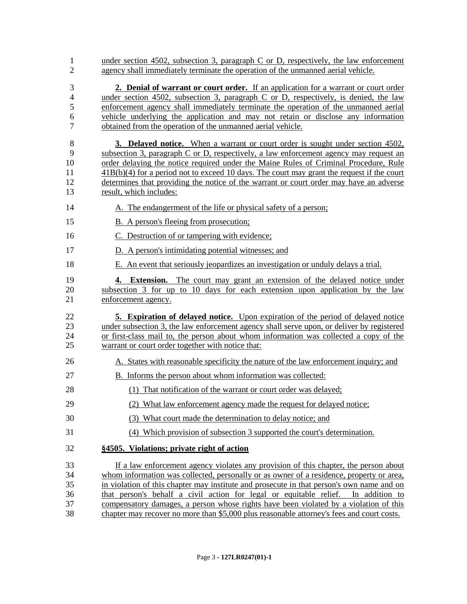| $\mathbf{1}$<br>$\overline{2}$       | under section 4502, subsection 3, paragraph C or D, respectively, the law enforcement<br>agency shall immediately terminate the operation of the unmanned aerial vehicle.                                                                                                                                                                                                                                                                                                                                                                                |
|--------------------------------------|----------------------------------------------------------------------------------------------------------------------------------------------------------------------------------------------------------------------------------------------------------------------------------------------------------------------------------------------------------------------------------------------------------------------------------------------------------------------------------------------------------------------------------------------------------|
| 3<br>4<br>5<br>6<br>$\overline{7}$   | 2. Denial of warrant or court order. If an application for a warrant or court order<br>under section 4502, subsection 3, paragraph $C$ or $D$ , respectively, is denied, the law<br>enforcement agency shall immediately terminate the operation of the unmanned aerial<br>vehicle underlying the application and may not retain or disclose any information<br>obtained from the operation of the unmanned aerial vehicle.                                                                                                                              |
| $\,8\,$<br>9<br>10<br>11<br>12<br>13 | <b>3. Delayed notice.</b> When a warrant or court order is sought under section 4502,<br>subsection 3, paragraph C or D, respectively, a law enforcement agency may request an<br>order delaying the notice required under the Maine Rules of Criminal Procedure, Rule<br>$41B(b)(4)$ for a period not to exceed 10 days. The court may grant the request if the court<br>determines that providing the notice of the warrant or court order may have an adverse<br>result, which includes:                                                              |
| 14                                   | A. The endangerment of the life or physical safety of a person;                                                                                                                                                                                                                                                                                                                                                                                                                                                                                          |
| 15                                   | B. A person's fleeing from prosecution;                                                                                                                                                                                                                                                                                                                                                                                                                                                                                                                  |
| 16                                   | C. Destruction of or tampering with evidence;                                                                                                                                                                                                                                                                                                                                                                                                                                                                                                            |
| 17                                   | D. A person's intimidating potential witnesses; and                                                                                                                                                                                                                                                                                                                                                                                                                                                                                                      |
| 18                                   | E. An event that seriously jeopardizes an investigation or unduly delays a trial.                                                                                                                                                                                                                                                                                                                                                                                                                                                                        |
| 19<br>20<br>21                       | 4. Extension. The court may grant an extension of the delayed notice under<br>subsection 3 for up to 10 days for each extension upon application by the law<br>enforcement agency.                                                                                                                                                                                                                                                                                                                                                                       |
| 22<br>23<br>24<br>25                 | <b>5. Expiration of delayed notice.</b> Upon expiration of the period of delayed notice<br>under subsection 3, the law enforcement agency shall serve upon, or deliver by registered<br>or first-class mail to, the person about whom information was collected a copy of the<br>warrant or court order together with notice that:                                                                                                                                                                                                                       |
| 26                                   | A. States with reasonable specificity the nature of the law enforcement inquiry; and                                                                                                                                                                                                                                                                                                                                                                                                                                                                     |
| 27                                   | B. Informs the person about whom information was collected:                                                                                                                                                                                                                                                                                                                                                                                                                                                                                              |
| 28                                   | (1) That notification of the warrant or court order was delayed;                                                                                                                                                                                                                                                                                                                                                                                                                                                                                         |
| 29                                   | (2) What law enforcement agency made the request for delayed notice;                                                                                                                                                                                                                                                                                                                                                                                                                                                                                     |
| 30                                   | (3) What court made the determination to delay notice; and                                                                                                                                                                                                                                                                                                                                                                                                                                                                                               |
| 31                                   | (4) Which provision of subsection 3 supported the court's determination.                                                                                                                                                                                                                                                                                                                                                                                                                                                                                 |
| 32                                   | §4505. Violations; private right of action                                                                                                                                                                                                                                                                                                                                                                                                                                                                                                               |
| 33<br>34<br>35<br>36<br>37<br>38     | If a law enforcement agency violates any provision of this chapter, the person about<br>whom information was collected, personally or as owner of a residence, property or area,<br>in violation of this chapter may institute and prosecute in that person's own name and on<br>that person's behalf a civil action for legal or equitable relief. In addition to<br>compensatory damages, a person whose rights have been violated by a violation of this<br>chapter may recover no more than \$5,000 plus reasonable attorney's fees and court costs. |